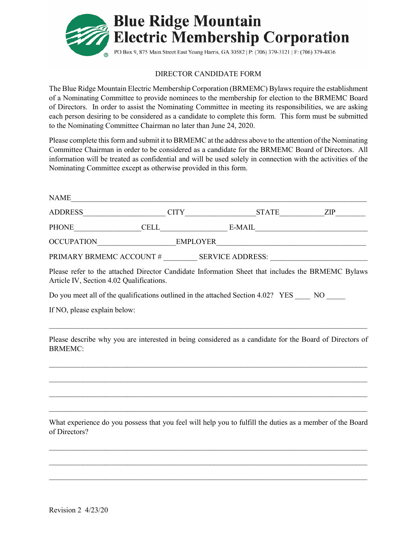

## DIRECTOR CANDIDATE FORM

The Blue Ridge Mountain Electric Membership Corporation (BRMEMC) Bylaws require the establishment of a Nominating Committee to provide nominees to the membership for election to the BRMEMC Board of Directors. In order to assist the Nominating Committee in meeting its responsibilities, we are asking each person desiring to be considered as a candidate to complete this form. This form must be submitted to the Nominating Committee Chairman no later than June 24, 2020.

Please complete this form and submit it to BRMEMC at the address above to the attention of the Nominating Committee Chairman in order to be considered as a candidate for the BRMEMC Board of Directors. All information will be treated as confidential and will be used solely in connection with the activities of the Nominating Committee except as otherwise provided in this form.

|                                          | $CITY$ $STATE$ $ZIP$                                                                                    |  |
|------------------------------------------|---------------------------------------------------------------------------------------------------------|--|
|                                          | PHONE CELL E-MAIL E-MAIL                                                                                |  |
|                                          | OCCUPATION____________________________EMPLOYER__________________________________                        |  |
|                                          |                                                                                                         |  |
| Article IV, Section 4.02 Qualifications. | Please refer to the attached Director Candidate Information Sheet that includes the BRMEMC Bylaws       |  |
|                                          | Do you meet all of the qualifications outlined in the attached Section 4.02? YES NO                     |  |
| If NO, please explain below:             |                                                                                                         |  |
| <b>BRMEMC:</b>                           | Please describe why you are interested in being considered as a candidate for the Board of Directors of |  |
|                                          |                                                                                                         |  |
|                                          |                                                                                                         |  |

What experience do you possess that you feel will help you to fulfill the duties as a member of the Board of Directors?

 $\mathcal{L}_\text{max}$  , and the contract of the contract of the contract of the contract of the contract of the contract of

 $\_$  ,  $\_$  ,  $\_$  ,  $\_$  ,  $\_$  ,  $\_$  ,  $\_$  ,  $\_$  ,  $\_$  ,  $\_$  ,  $\_$  ,  $\_$  ,  $\_$  ,  $\_$  ,  $\_$  ,  $\_$  ,  $\_$  ,  $\_$  ,  $\_$  ,  $\_$  ,  $\_$  ,  $\_$  ,  $\_$  ,  $\_$  ,  $\_$  ,  $\_$  ,  $\_$  ,  $\_$  ,  $\_$  ,  $\_$  ,  $\_$  ,  $\_$  ,  $\_$  ,  $\_$  ,  $\_$  ,  $\_$  ,  $\_$  ,

 $\_$  ,  $\_$  ,  $\_$  ,  $\_$  ,  $\_$  ,  $\_$  ,  $\_$  ,  $\_$  ,  $\_$  ,  $\_$  ,  $\_$  ,  $\_$  ,  $\_$  ,  $\_$  ,  $\_$  ,  $\_$  ,  $\_$  ,  $\_$  ,  $\_$  ,  $\_$  ,  $\_$  ,  $\_$  ,  $\_$  ,  $\_$  ,  $\_$  ,  $\_$  ,  $\_$  ,  $\_$  ,  $\_$  ,  $\_$  ,  $\_$  ,  $\_$  ,  $\_$  ,  $\_$  ,  $\_$  ,  $\_$  ,  $\_$  ,

 $\mathcal{L}_\text{max}$  , and the contract of the contract of the contract of the contract of the contract of the contract of